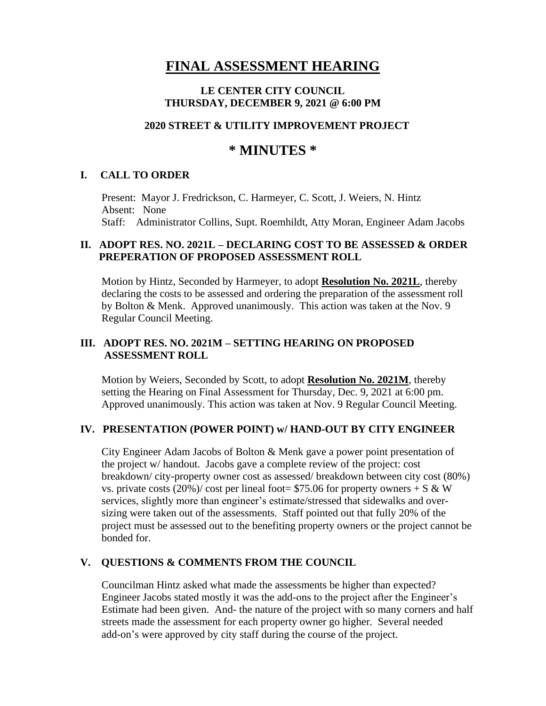# **FINAL ASSESSMENT HEARING**

#### **LE CENTER CITY COUNCIL THURSDAY, DECEMBER 9, 2021 @ 6:00 PM**

#### **2020 STREET & UTILITY IMPROVEMENT PROJECT**

## **\* MINUTES \***

#### **I. CALL TO ORDER**

 Present: Mayor J. Fredrickson, C. Harmeyer, C. Scott, J. Weiers, N. Hintz Absent: None Staff: Administrator Collins, Supt. Roemhildt, Atty Moran, Engineer Adam Jacobs

#### **II. ADOPT RES. NO. 2021L – DECLARING COST TO BE ASSESSED & ORDER PREPERATION OF PROPOSED ASSESSMENT ROLL**

Motion by Hintz, Seconded by Harmeyer, to adopt **Resolution No. 2021L**, thereby declaring the costs to be assessed and ordering the preparation of the assessment roll by Bolton & Menk. Approved unanimously. This action was taken at the Nov. 9 Regular Council Meeting.

#### **III. ADOPT RES. NO. 2021M – SETTING HEARING ON PROPOSED ASSESSMENT ROLL**

Motion by Weiers, Seconded by Scott, to adopt **Resolution No. 2021M**, thereby setting the Hearing on Final Assessment for Thursday, Dec. 9, 2021 at 6:00 pm. Approved unanimously. This action was taken at Nov. 9 Regular Council Meeting.

#### **IV. PRESENTATION (POWER POINT) w/ HAND-OUT BY CITY ENGINEER**

 City Engineer Adam Jacobs of Bolton & Menk gave a power point presentation of the project w/ handout. Jacobs gave a complete review of the project: cost breakdown/ city-property owner cost as assessed/ breakdown between city cost (80%) vs. private costs (20%)/ cost per lineal foot=  $$75.06$  for property owners + S & W services, slightly more than engineer's estimate/stressed that sidewalks and over sizing were taken out of the assessments. Staff pointed out that fully 20% of the project must be assessed out to the benefiting property owners or the project cannot be bonded for.

#### **V. QUESTIONS & COMMENTS FROM THE COUNCIL**

Councilman Hintz asked what made the assessments be higher than expected? Engineer Jacobs stated mostly it was the add-ons to the project after the Engineer's Estimate had been given. And- the nature of the project with so many corners and half streets made the assessment for each property owner go higher. Several needed add-on's were approved by city staff during the course of the project.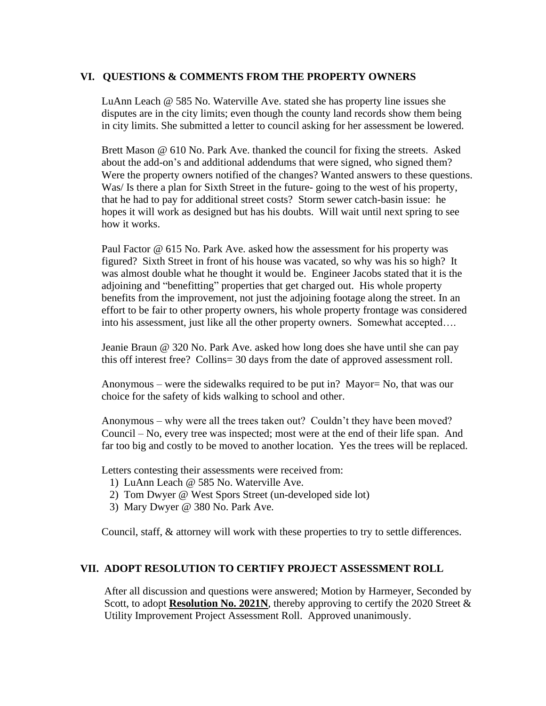#### **VI. QUESTIONS & COMMENTS FROM THE PROPERTY OWNERS**

LuAnn Leach @ 585 No. Waterville Ave. stated she has property line issues she disputes are in the city limits; even though the county land records show them being in city limits. She submitted a letter to council asking for her assessment be lowered.

 Brett Mason @ 610 No. Park Ave. thanked the council for fixing the streets. Asked about the add-on's and additional addendums that were signed, who signed them? Were the property owners notified of the changes? Wanted answers to these questions. Was/ Is there a plan for Sixth Street in the future- going to the west of his property, that he had to pay for additional street costs? Storm sewer catch-basin issue: he hopes it will work as designed but has his doubts. Will wait until next spring to see how it works.

 Paul Factor @ 615 No. Park Ave. asked how the assessment for his property was figured? Sixth Street in front of his house was vacated, so why was his so high? It was almost double what he thought it would be. Engineer Jacobs stated that it is the adjoining and "benefitting" properties that get charged out. His whole property benefits from the improvement, not just the adjoining footage along the street. In an effort to be fair to other property owners, his whole property frontage was considered into his assessment, just like all the other property owners. Somewhat accepted….

 Jeanie Braun @ 320 No. Park Ave. asked how long does she have until she can pay this off interest free? Collins= 30 days from the date of approved assessment roll.

 Anonymous – were the sidewalks required to be put in? Mayor= No, that was our choice for the safety of kids walking to school and other.

 Anonymous – why were all the trees taken out? Couldn't they have been moved? Council – No, every tree was inspected; most were at the end of their life span. And far too big and costly to be moved to another location. Yes the trees will be replaced.

Letters contesting their assessments were received from:

- 1) LuAnn Leach @ 585 No. Waterville Ave.
- 2) Tom Dwyer @ West Spors Street (un-developed side lot)
- 3) Mary Dwyer @ 380 No. Park Ave.

Council, staff, & attorney will work with these properties to try to settle differences.

#### **VII. ADOPT RESOLUTION TO CERTIFY PROJECT ASSESSMENT ROLL**

After all discussion and questions were answered; Motion by Harmeyer, Seconded by Scott, to adopt **Resolution No. 2021N**, thereby approving to certify the 2020 Street & Utility Improvement Project Assessment Roll.Approved unanimously.